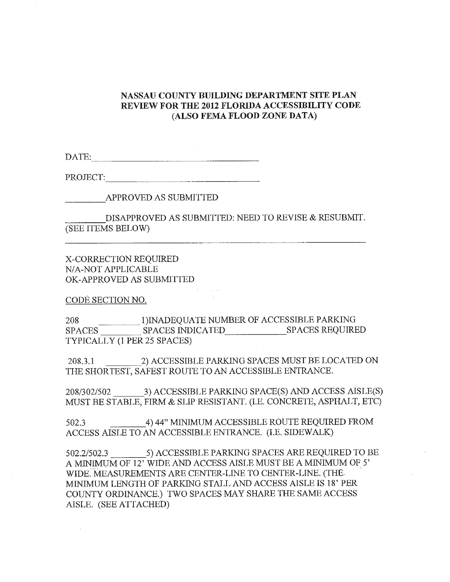## **NASSAU COUNTY BUILDING DEPARTMENT SITE PLAN REVIEW FOR THE 2012 FLORIDA ACCESSIBILITY CODE (ALSO FEMA FLOOD ZONE DATA}**

DATE: --------------

PROJECT: ------------

---APPROVED AS SUBMITTED

 $\begin{array}{lll} \textbf{MPPROVED AS SUBMITIED} \\ \textbf{DISAPPROVED AS SUBMITIED: NEED TO REVISE & RESUBMIT.} \end{array}$ (SEE ITEMS BELOW)

X-CORRECTION REQUIRED N/A-NOT APPLICABLE OK-APPROVED AS SUBMITTED

CODE SECTION NO.

208 <sup>1)</sup>INADEQUATE NUMBER OF ACCESSIBLE PARKING SPACES SPACES INDICATED SPACES REQUIRED TYPICALLY (1 PER 25 SPACES)

208.3.1 \_\_ \_\_:2) ACCESSIBLE PARKING SPACES MUST BE LOCATED ON THE SHORTEST, SAFEST ROUTE TO AN ACCESSIBLE ENTRANCE.

208/302/502 \_\_ 3) ACCESSIBLE PARKING SPACE(S) AND ACCESS AISLE(S) MUST BE STABLE, FIRM & SLIP RESISTANT. (I.E. CONCRETE, ASPHALT, ETC)

502.3 \_\_\_ 4) 44" MINIMUM ACCESSIBLE ROUTE REQUIRED FROM ACCESS AISLE TO AN ACCESSIBLE ENTRANCE. (I.E. SIDEWALK)

502.2/502.3 \_\_\_ 5) ACCESSIBLE PARKING SP ACES ARE REQUIRED TO BE A MINIMUM OF 12' WIDE AND ACCESS AISLE MUST BE A MINIMUM OF 5' WIDE. MEASUREMENTS ARE CENTER-LINE TO CENTER-LINE. (THE MINIMUM LENGTH OF PARKING STALL AND ACCESS AISLE IS 18' PER COUNTY ORDINANCE.) TWO SPACES MAY SHARE THE SAME ACCESS AISLE. (SEE ATTACHED)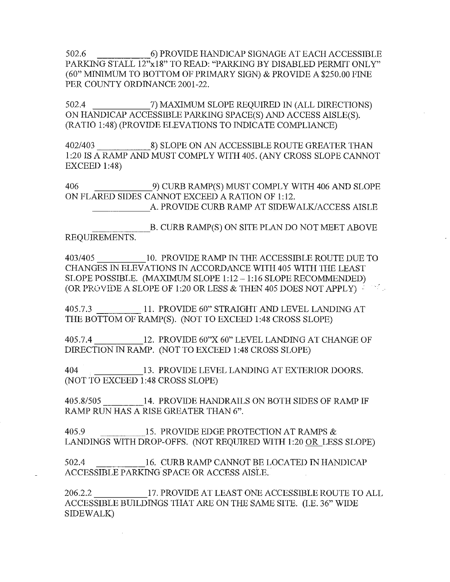502.6 \_\_\_\_ 6) PROVIDE HANDICAP SIGNAGE AT EACH ACCESSIBLE PARKING STALL 12"x18" TO READ: "PARKING BY DISABLED PERMIT ONLY" (60" MINIMUM TO BOTTOM OF PRIMARY SIGN) & PROVIDE A \$250.00 FINE PER COUNTY ORDINANCE 2001-22.

502.4 \_\_\_\_\_ 7) MAXIMUM SLOPE REQUIRED IN (ALL DIRECTIONS) ON HANDICAP ACCESSIBLE PARKING SPACE(S) AND ACCESS AISLE(S). (RA TIO 1 :48) (PROVIDE ELEVATIONS TO INDICATE COMPLIANCE)

402/403 \_\_\_\_ 8) SLOPE ON AN ACCESSIBLE ROUTE GREATER THAN 1 :20 IS A RAMP AND MUST COMPLY WITH 405. (ANY CROSS SLOPE CANNOT **EXCEED 1:48)** 

406 9) CURB RAMP(S) MUST COMPLY WITH 406 AND SLOPE ON FLARED SIDES CANNOT EXCEED A RATION OF 1:12. \_\_\_\_\_ A. PROVIDE CURB RAMP AT SIDEWALK/ACCESS AISLE

B. CURB RAMP(S) ON SITE PLAN DO NOT MEET ABOVE REQUIREMENTS.

403/405 \_\_\_\_ 10. PROVIDE RAMP IN THE ACCESSIBLE ROUTE DUE TO CHANGES IN ELEVATIONS IN ACCORDANCE WITH 405 WITH THE LEAST SLOPE POSSIBLE. (MAXIMUM SLOPE 1:12-1:16 SLOPE RECOMMENDED) (OR PROVIDE A SLOPE OF 1:20 OR LESS  $\&$  THEN 405 DOES NOT APPLY)  $\cdot$ 

405.7.3 11. PROVIDE 60" STRAIGHT AND LEVEL LANDING AT THE BOTTOM OF RAMP(S). (NOT TO EXCEED 1:48 CROSS SLOPE)

405.7.4 \_\_\_\_ 12. PROVIDE 60"X 60" LEVEL LANDING AT CHANGE OF DIRECTION IN RAMP. (NOT TO EXCEED 1 :48 CROSS SLOPE)

404 \_\_\_\_ 13. PROVIDE LEVEL LANDING AT EXTERIOR DOORS. (NOT TO EXCEED 1 :48 CROSS SLOPE)

405.8/505 \_\_\_ 14. PROVIDE HANDRAILS ON BOTH SIDES OF RAMP IF RAMP RUN HAS A RISE GREATER THAN 6".

405.9 **15. PROVIDE EDGE PROTECTION AT RAMPS &** LANDINGS WITH DROP-OFFS. (NOT REQUIRED WITH 1:20 OR LESS SLOPE)

502.4 **16. CURB RAMP CANNOT BE LOCATED IN HANDICAP** ACCESSIBLE PARKING SPACE OR ACCESS AISLE.

206.2.2 17. PROVIDE AT LEAST ONE ACCESSIBLE ROUTE TO ALL ACCESSIBLE BUILDINGS THAT ARE ON THE SAME SITE. (I.E. 36" WIDE SIDEWALK)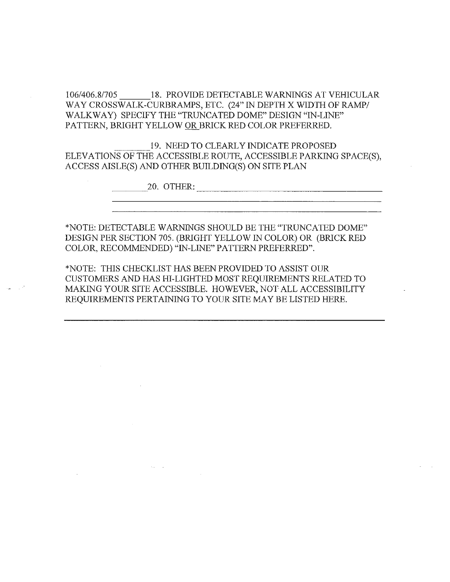106/406.8/705 \_\_\_ 18. PROVIDE DETECTABLE WARNINGS AT VEHICULAR WAY CROSSWALK-CURBRAMPS, ETC. (24" IN DEPTH X WIDTH OF RAMP/ WALKWAY) SPECIFY THE "TRUNCATED DOME" DESIGN "IN-LINE" PATTERN, BRIGHT YELLOW OR BRICK RED COLOR PREFERRED.

1 AT LENN, BRIGHT TELLOW <u>ON </u>BRICK RED COLOR FREFERRED.<br>19. NEED TO CLEARLY INDICATE PROPOSED<br>ELEVATIONS OF THE ACCESSIBLE ROUTE, ACCESSIBLE PARKING SPACE(S), ACCESS AISLE(S) AND OTHER BUILDING(S) ON SITE PLAN

20. OTHER:  $\overline{a}$ 

\*NOTE: DETECTABLE WARNINGS SHOULD BE THE "TRUNCATED DOME" DESIGN PER SECTION 705. (BRIGHT YELLOW IN COLOR) OR (BRICK RED COLOR, RECOMMENDED) "IN-LINE" PATTERN PREFERRED".

\*NOTE: THIS CHECKLIST HAS BEEN PROVIDED TO ASSIST OUR CUSTOMERS AND HAS HI-LIGHTED MOST REQUIREMENTS RELATED TO MAKING YOUR SITE ACCESSIBLE. HOWEVER, NOT-ALL ACCESSIBILITY REQUIREMENTS PERTAINING TO YOUR SITE MAY BE LISTED HERE.